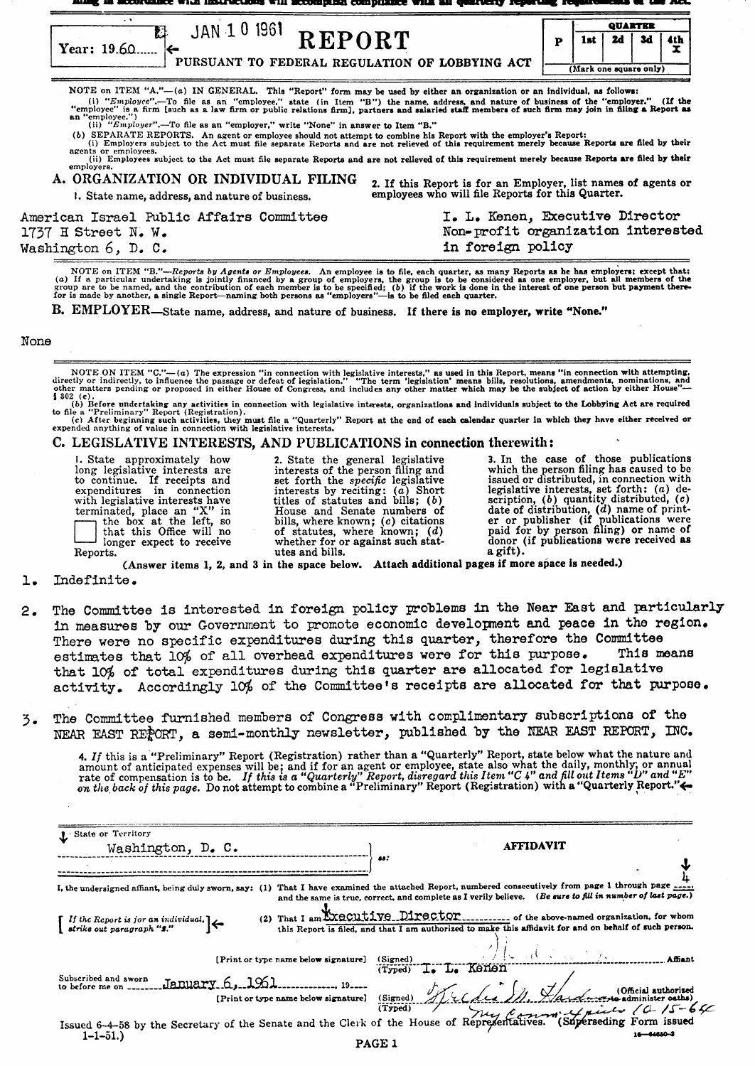**QUARTER**  $\begin{array}{c} \mathbb{Z} \longrightarrow \mathbb{Z} \longrightarrow \mathbb{Z} \longrightarrow \mathbb{Z} \longrightarrow \mathbb{Z} \longrightarrow \mathbb{Z} \longrightarrow \mathbb{Z} \longrightarrow \mathbb{Z} \longrightarrow \mathbb{Z} \longrightarrow \mathbb{Z} \longrightarrow \mathbb{Z} \longrightarrow \mathbb{Z} \longrightarrow \mathbb{Z} \longrightarrow \mathbb{Z} \longrightarrow \mathbb{Z} \longrightarrow \mathbb{Z} \longrightarrow \mathbb{Z} \longrightarrow \mathbb{Z} \longrightarrow \mathbb{Z} \longrightarrow \mathbb{Z} \longrightarrow \mathbb{Z} \longrightarrow \mathbb{Z} \longrightarrow \mathbb{Z} \longrightarrow \mathbb{Z} \longrightarrow \mathbb{Z} \longrightarrow \mathbb{Z} \longrightarrow \mathbb{Z$ 24 34 4th 1<sub>at</sub> p Ï (Mark one square onl7) NOTE on ITEM "A."—(a) IN GENERAL. This "Report" form may be used by either an organization or an individual, as follows:<br>(i) "Employee".—To file as an "employee," state (in Item "B") the name, address, and nature of busin (b) SEPARATE REPORTS. An agent or employee should not attempt to combine his Report with the employer's Report:<br>(i) Employers subject to the Act must file separate Reports and are not relieved of this requirement merely be (ii) Employees subject to the Act must file separate Reports and are not relieved of this requirement merely because Reports are filed by their  $emplov<sub>f</sub>$ A. ORGANIZATION OR INDIVIDUAL FILING UKGANIZATION OR INDIVIDUAL FILING 2. If this Report is for an Employer, list names of agents or employees who will file Reports for this Quarter. American Israel Public Affairs Committee I. L. Kenen, Executive Director 1737 H Street N~ W. Nan-profit organization interested

Washington 6, D. C. in foreign policy NOTE on ITEM "B."—Reports by Agents or Employees. An employee is to file, each quarter, as many Reports as he has employers; except that:<br>(a) If a particular undertaking is jointly financed by a group of employers, the gr

B. EMPLOYER-State name, address, and nature of business. If there is no employer, write "None."

## None

NOTE ON ITEM "C."—(a) The expression "in connection with legislative interests," as used in this Report, means "in connection with attempting,<br>directly or indicercity, to influence the passage or defeat of legislation." "

(c) After beginning such activities, they must file a "Quarterly" Report at the end of each calendar quarter in which they have either received or expended anything of value in connection with legislative interests.<br>(c) Af

# C. LEGISLATIVE INTERESTS, AND PUBLICATIONS in connection therewith:

I. State approximately how 2. State the general legislative 3. In the case of those publications long legislative interests are interests of the person filing and which the person filing has caused to be tong regislative interests are interests of the person ining and which the person ling has caused to be<br>to continue. If receipts and set forth the *specific* legislative issued or distributed, in connection with expenditures in connection interests by reciting: (a) Short legislative interests, set forth: (a) de-<br>with legislative interests have titles of statutes and bills; (b) scription, (b) quantity distributed, (c)<br>terminated,

(Answer items 1, 2, and 3 in the space below. Attach additional pages if more space is needed.)

### 1. Indefinite.

- 2. The Committee is interested in foreign policy problems in the Near East and particularly in measures by our Government to promote economic developnent and peace in the region. There were no specific expenditures during this quarter, therefore the Committee estimates that  $M_{eff}$  of all overhead expenditures were for this purpose. This means estimates that 10% of all overhead expenditures were for this purpose. that 10% of total expenditures during this quarter are allocated for legislative activity. Accordingly 10% of the Committee's receipts are allocated for that purpose.
- 3. The Committee furnished members of Congress with complimentary subscriptions of tho NEAR EAST REPORT, a semi-monthly newsletter, published by the NEAR EAST REPORT, INC.

4. If this is a "Preliminary" Report (Registration) rather than a "Quarterly" Report, state below what the nature and amount of anticipated expenses will be; and if for an agent or employee, state also what the daily, mon

| State or Territory                                                                                     | <b>AFFIDAVIT</b>                                                                                                                                                                                                      |
|--------------------------------------------------------------------------------------------------------|-----------------------------------------------------------------------------------------------------------------------------------------------------------------------------------------------------------------------|
| Washington, D. C.                                                                                      | 88.                                                                                                                                                                                                                   |
| I, the undersigned affiant, being duly sworn, say: (1)                                                 | That I have examined the attached Report, numbered consecutively from page 1 through page $\frac{1}{2}$<br>and the same is true, correct, and complete as I verily believe. (Be sure to fill in number of last page.) |
| (2) That I am Executive Director                                                                       | of the above-named organization, for whom                                                                                                                                                                             |
| If the Report is jor an individual, $\left\{\leftarrow$<br>strike out paragraph "2."                   | this Report is filed, and that I am authorized to make this affidavit for and on behalf of such person.                                                                                                               |
| [Print or type name below signature]                                                                   | <b>Affiant</b><br>(Signed)<br>(Typed) I. L. Kerlen                                                                                                                                                                    |
| Subscribed and sworn<br>January 6, 1961<br>to before me on $-$<br>[Print or type name below signature] | dus M. Handweren (Official authorized<br>Muy Comment Marine (4/5-64)<br>pregentatives. (Superseding Form issued<br>(Signed)<br>(Typed)                                                                                |
| Issued 6-4-58 by the Secretary of the Senate and the Clerk of the House of Representatives.            | 18—64880—3                                                                                                                                                                                                            |
| $1 - 1 - 51.$                                                                                          | <b>PAGE 1</b>                                                                                                                                                                                                         |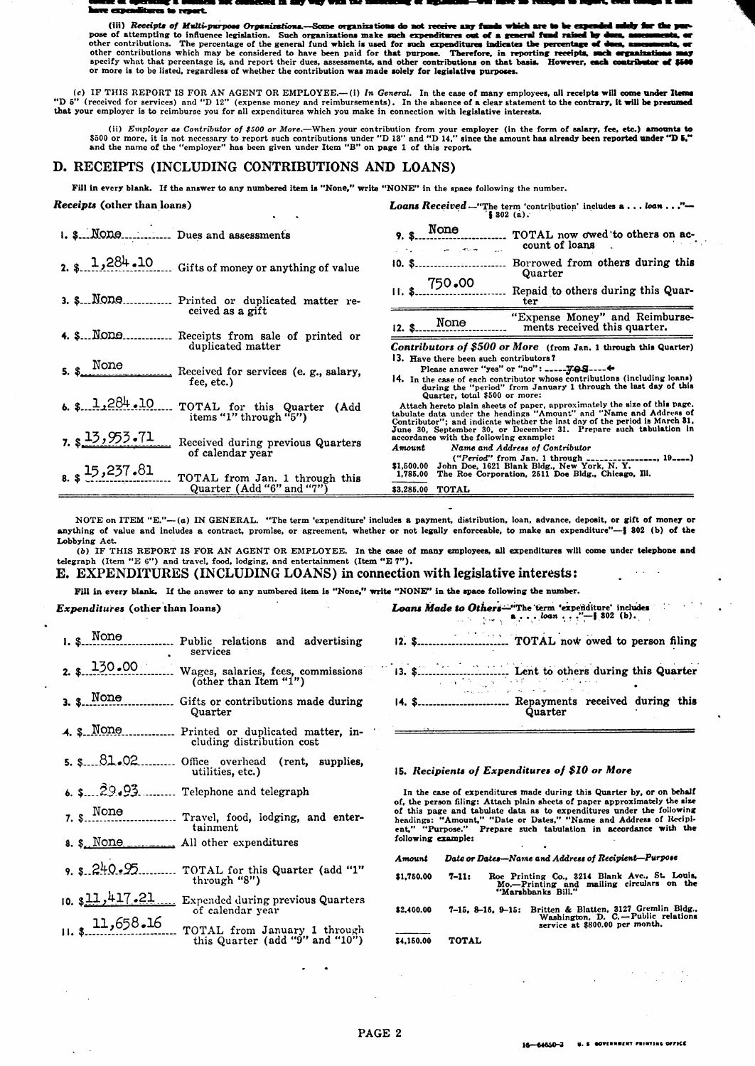#### re exp ūш. res to resert

(iii) Receipts of Multi-purpose Organizations. **Some** orwanization úw ers f one of attempting to interpret poss organizations. Such organizations make such a secure sex assessment and raised by de<br>pose of attempting to influence legislation. Such organizations make such such expenditures out of a na, ar other contributions. The percentage of the general fund which is used for such expenditures indicates the percentage of seeds, and other contributions which may be considered to have been anywhich may be considered to have or more is to be listed, regardless of whether the contribution was made solely for legislative purposes.

(c) IF THIS REPORT IS FOR AN AGENT OR EMPLOYEE..... (i) In General. In the case of many employees, all receipts will come under Items (P) 5" (received for services) and "D 12" (expense money and reimbursements). In the abs that your employer is to reimburse you for all expenditures which you make in connection with legislative interests.

(ii) *Employer as Contributor of \$500 or More*.—When your contribution from your employer (in the form of salary, fee, etc.) **amounts to** \$500 or more, it is not necessary to report such contributions under "D 18" and "D

## D. RECEIPTS (INCLUDING CONTRIBUTIONS AND LOANS)

Fill in every blank. If the answer to any numbered item is "None," write "NONE" in the space following the number.

#### Receipts (other than loans)

| <b>Loans Received</b> -"The term 'contribution' includes $a \dots loan \dots$ "-<br>\$302(a).                                                                                                                                                                  |  |  |
|----------------------------------------------------------------------------------------------------------------------------------------------------------------------------------------------------------------------------------------------------------------|--|--|
| TOTAL now owed to others on ac-<br>count of loans<br><b>START AND</b>                                                                                                                                                                                          |  |  |
| Borrowed from others during this<br>$10.$ \$<br>Gifts of money or anything of value<br>Quarter                                                                                                                                                                 |  |  |
| $11.$ \$ $750.00$<br>Repaid to others during this Quar-<br>3. \$ NODO Printed or duplicated matter re-<br>ter                                                                                                                                                  |  |  |
| "Expense Money" and Reimburse-<br>None<br>ments received this quarter.<br>Receipts from sale of printed or                                                                                                                                                     |  |  |
| Contributors of \$500 or More (from Jan. 1 through this Quarter)                                                                                                                                                                                               |  |  |
| 13. Have there been such contributors?<br>Received for services (e. g., salary,<br>14. In the case of each contributor whose contributions (including loans)<br>during the "period" from January 1 through the last day of this                                |  |  |
| Quarter, total \$500 or more:<br>Attach hereto plain sheets of paper, approximately the size of this page.<br>tabulate data under the headings "Amount" and "Name and Address of<br>Contributor"; and indicate whether the last day of the period is March 81, |  |  |
| June 30, September 30, or December 31. Prepare such tabulation in<br>accordance with the following example:<br>Received during previous Quarters<br>Name and Address of Contributor<br>Amount<br>$("Period" from Jan. 1 through ________ (19--)$               |  |  |
| \$1,500.00 John Doe, 1621 Blank Bldg., New York, N. Y.<br>1,785.00 The Roe Corporation, 2511 Doe Bldg., Chicago, Ill.<br>TOTAL from Jan. 1 through this<br>83.285.00 TOTAL                                                                                     |  |  |
| TOTAL for this Quarter (Add                                                                                                                                                                                                                                    |  |  |

NOTE on ITEM "E."--(a) IN GENERAL. "The term 'expenditure' includes a payment, distribution, loan, advance, deposit, or gift of money or anything of value and includes a contract, promise, or agreement, whether or not legally enforceable, to make an expenditure"-§ 802 (b) of the Lobbying Act.

(b) IF THIS REPORT IS FOR AN AGENT OR EMPLOYEE. In the case of many employees, all expenditures will come under telephone and telegraph (Item "E 6") and travel, food, lodging, and entertainment (Item "E 7").

**E. EXPENDITURES (INCLUDING LOANS) in connection with legislative interests:** 

Fill in every blank. If the answer to any numbered item is "None," write "NONE" in the space following the number.

### Expenditures (other than loans)

| $1.$ \$ $\ldots$ None | Public relations and advertising<br>services                            |
|-----------------------|-------------------------------------------------------------------------|
| $2. s = 130 - 00$     | Wages, salaries, fees, commissions<br>(other than Item "1")             |
| 3. 8. None            | Gifts or contributions made during<br>Quarter                           |
| 4. s None             | Printed or duplicated matter, in-<br>cluding distribution cost          |
|                       | $5.$ $381.02$ Office overhead (rent, supplies,<br>utilities, etc.)      |
|                       | 6. $\frac{29.23}{ }$ Telephone and telegraph                            |
| $7.$ $\text{None}$    | Travel, food, lodging, and enter-<br>tainment                           |
|                       | 8. \$. None All other expenditures                                      |
| 9.8.240.95            | TOTAL for this Quarter (add "1"<br>through "8")                         |
| $10.$ $$11,417.21$    | Expended during previous Quarters<br>of calendar year                   |
| 11,658.16             | TOTAL from January 1 through<br>this Quarter (add " $9$ " and " $10$ ") |

**Loans Made to Others**—"The term 'expenditure' includes<br>  $\bullet \cdot \cdot \cdot \cdot \cdot \cdot \cdot \cdot \cdot \cdot \cdot \cdot \cdot \cdot$  302 (b).

- $\omega$  ,  $\omega$  ,  $\omega$  ,  $\omega$
- $\mathcal{O}(1/\sqrt{2})$  , and  $\mathcal{O}(1/\sqrt{2})$
- 14. \$........................... Repayments received during this Quarter

#### 15. Recipients of Expenditures of \$10 or More

In the case of expenditures made during this Quarter by, or on behalf of, the person filing: Attach plain sheets of paper approximately the size<br>of this page and tabulate data as to expenditures under the following<br>bedings: "Amount," "Date or Dates," "Name and Address of Recipi-<br>ent," "Purpo following example:

| Amount     | Date or Dates-Name and Address of Recipient-Purpose |                                                                                                                   |  |
|------------|-----------------------------------------------------|-------------------------------------------------------------------------------------------------------------------|--|
| \$1,750.00 | $7 - 11:$                                           | Roe Printing Co., 3214 Blank Ave., St. Louis,<br>Mo.--Printing and mailing circulars on the<br>"Marshbanks Bill." |  |
|            |                                                     | an a sa a sa reise a reise ainm Capalla Dida                                                                      |  |

7-15, 8-15, 9-15: Britten & Blatten, 3127 Gremlin Bldg.,<br>Washington, D. C.—Public relations<br>service at \$800.00 per month. \$2,400.00 \$4,150.00 **TOTAL**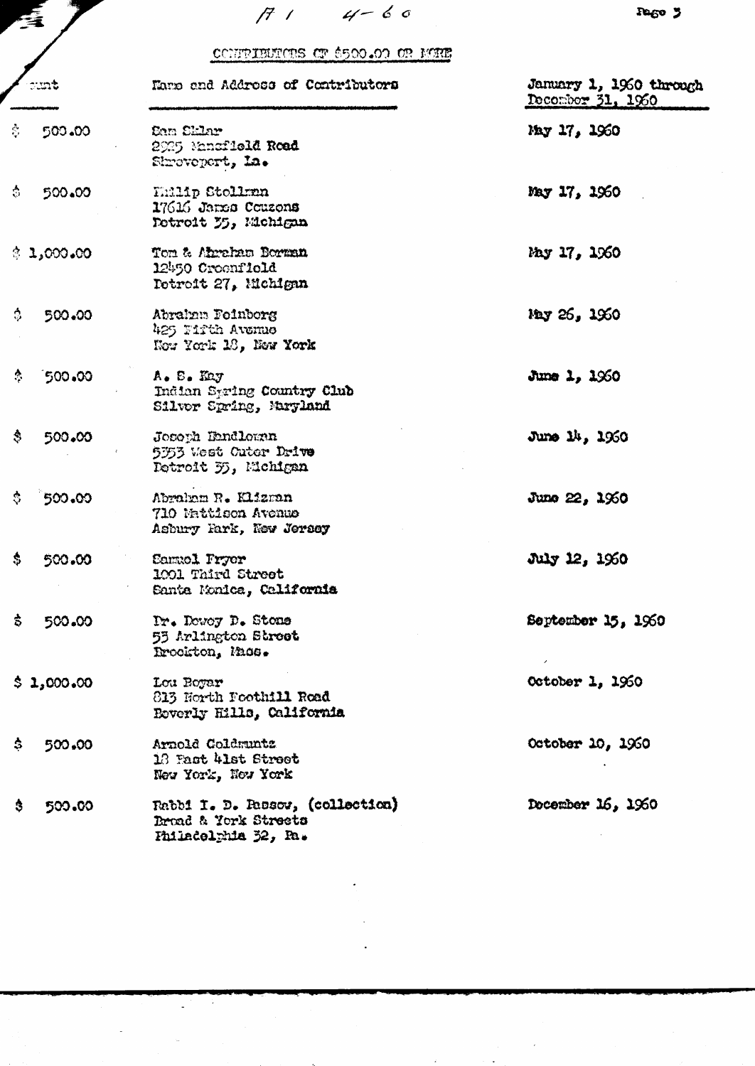|     |        | cc<br>Maro and Ad                       |
|-----|--------|-----------------------------------------|
| Š., | 500.00 | Cam Sklar<br>2925 Manaf1<br>Shrovepert, |
|     |        |                                         |

 $714-60$ 

TRIBUTORS OF \$500.00 OR MORE

| ount.                    | Name and Address of Contributors                                                 | January 1, 1960 through<br>December 31, 1960 |  |
|--------------------------|----------------------------------------------------------------------------------|----------------------------------------------|--|
| Ŝ.<br>500.00             | Sam Sklar<br>2925 Mansfield Road<br>Shrovepert, La.                              | May 17, 1960                                 |  |
| $\ddot{\circ}$<br>500.00 | Thilip Stollmn<br>17616 Jarre Couzons<br>Detroit 35, Michigan                    | May 17, 1960                                 |  |
| \$1,000,00               | Tom & Abraham Borman<br>12450 Croenfield<br>Potroit 27, Michigan                 | May 17, 1960                                 |  |
| ≎.<br>500.00             | Abrahan Foinborg<br>425 Firth Avenue<br>Now York 18, Now York                    | May 26, 1960                                 |  |
| ै<br>500.00              | A. S. Kay<br>Indian Spring Country Club<br>Silvor Spring, Maryland               | $J$ une 1, $1960$                            |  |
| \$.<br>500.00            | Joseph Dandlernn<br>5353 West Cuter Drive<br>Detroit 35, Michigan                | June 14, 1960                                |  |
| \$.<br>500.00            | Abraham R. Klizman<br>710 Mattison Avenue<br>Asbury Fark, New Jersey             | June 22, 1960                                |  |
| \$.<br>500.00            | <b>Samuel Pryor</b><br>1001 Third Street<br>Santa Monica, California             | July 12, 1960                                |  |
| \$.<br>500.00            | Dr. Dowey D. Stone<br>55 Arlington Street<br>Brockton, Mass.                     | September 15, 1960                           |  |
| \$1,000,00               | Lou Boyar<br>813 North Foothill Road<br>Boverly Hills, California                | October 1, 1960                              |  |
| \$.<br>500.00            | Arnold Coldmuntz<br>13 Fact 41st Street<br>New York, New York                    | October 10, 1960                             |  |
| \$.<br>500.00            | Rabbi I. D. Rassov, (collection)<br>Broad & York Streets<br>Philadelphia 32, Ra. | Docember 16, 1960                            |  |

 $\downarrow$ 

 $\mathbb{Z}$